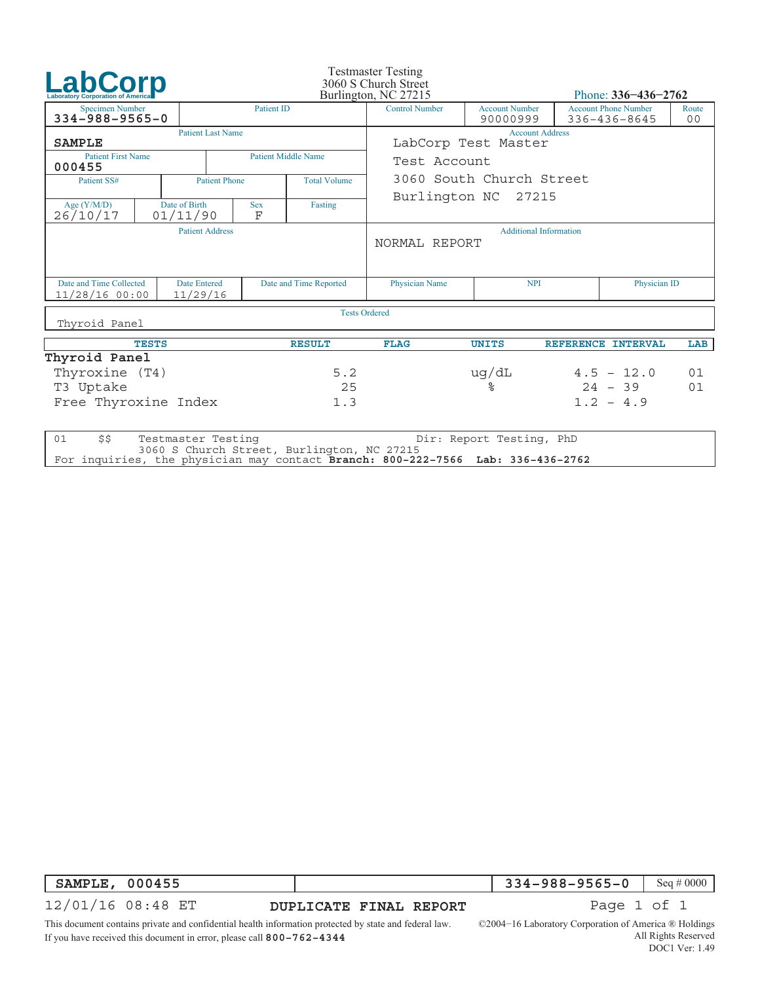| LabCorp                                                                        |              |                           |                        |                            | <b>Testmaster Testing</b><br>3060 S Church Street |                                   |              |                                             |     |  |
|--------------------------------------------------------------------------------|--------------|---------------------------|------------------------|----------------------------|---------------------------------------------------|-----------------------------------|--------------|---------------------------------------------|-----|--|
| <b>Laboratory Corporation of America</b>                                       |              |                           |                        |                            | Burlington, NC 27215                              | Phone: $336 - 436 - 2762$         |              |                                             |     |  |
| <b>Specimen Number</b><br>$334 - 988 - 9565 - 0$                               |              |                           |                        | <b>Patient ID</b>          | <b>Control Number</b>                             | <b>Account Number</b><br>90000999 |              | <b>Account Phone Number</b><br>336-436-8645 |     |  |
| <b>SAMPLE</b>                                                                  |              | <b>Patient Last Name</b>  |                        |                            | <b>Account Address</b><br>LabCorp Test Master     |                                   |              |                                             |     |  |
| <b>Patient First Name</b><br>000455                                            |              |                           |                        | <b>Patient Middle Name</b> | Test Account                                      |                                   |              |                                             |     |  |
| Patient SS#                                                                    |              | <b>Patient Phone</b>      |                        | <b>Total Volume</b>        | 3060 South Church Street                          |                                   |              |                                             |     |  |
| Age $(Y/M/D)$<br>26/10/17                                                      |              | Date of Birth<br>01/11/90 | <b>Sex</b><br>F        | Fasting                    | Burlington NC 27215                               |                                   |              |                                             |     |  |
| <b>Patient Address</b>                                                         |              |                           |                        |                            | <b>Additional Information</b><br>NORMAL REPORT    |                                   |              |                                             |     |  |
| Date and Time Collected<br><b>Date Entered</b><br>11/29/16<br>$11/28/16$ 00:00 |              |                           | Date and Time Reported |                            | <b>Physician Name</b>                             | <b>NPI</b>                        |              | Physician ID                                |     |  |
| Thyroid Panel                                                                  |              |                           |                        | <b>Tests Ordered</b>       |                                                   |                                   |              |                                             |     |  |
|                                                                                |              |                           |                        |                            |                                                   |                                   |              |                                             |     |  |
|                                                                                | <b>TESTS</b> |                           |                        | <b>RESULT</b>              | <b>FLAG</b>                                       | <b>UNITS</b>                      |              | REFERENCE INTERVAL                          | LAB |  |
| Thyroid Panel                                                                  |              |                           |                        |                            |                                                   |                                   |              |                                             |     |  |
| Thyroxine (T4)                                                                 |              |                           |                        | 5.2                        |                                                   | ug/dL                             | $4.5 - 12.0$ |                                             | 01  |  |
| T3 Uptake                                                                      |              |                           |                        | 25                         |                                                   | ৡ                                 | $24 - 39$    |                                             | 01  |  |
| Free Thyroxine Index<br>1.3                                                    |              |                           |                        |                            |                                                   |                                   | $1.2 - 4.9$  |                                             |     |  |
| 01<br>\$5                                                                      |              | Testmaster Testing        |                        |                            |                                                   | Dir: Report Testing, PhD          |              |                                             |     |  |

3060 S Church Street, Burlington, NC 27215 For inquiries, the physician may contact **Branch: 800−222−7566 Lab: 336−436−2762**

| <b>SAMPLE, 000455</b> |                                                                                                        |                                                                    | <b>334-988-9565-0</b> Seq # 0000 |  |
|-----------------------|--------------------------------------------------------------------------------------------------------|--------------------------------------------------------------------|----------------------------------|--|
|                       | 12/01/16 08:48 ET                                                                                      | DUPLICATE FINAL REPORT                                             | Page 1 of 1                      |  |
|                       | This document contains private and confidential health information protected by state and federal law. | $\odot$ 2004–16 Laboratory Corporation of America $\odot$ Holdings |                                  |  |

If you have received this document in error, please call **800−762−4344**

All Rights Reserved DOC1 Ver: 1.49